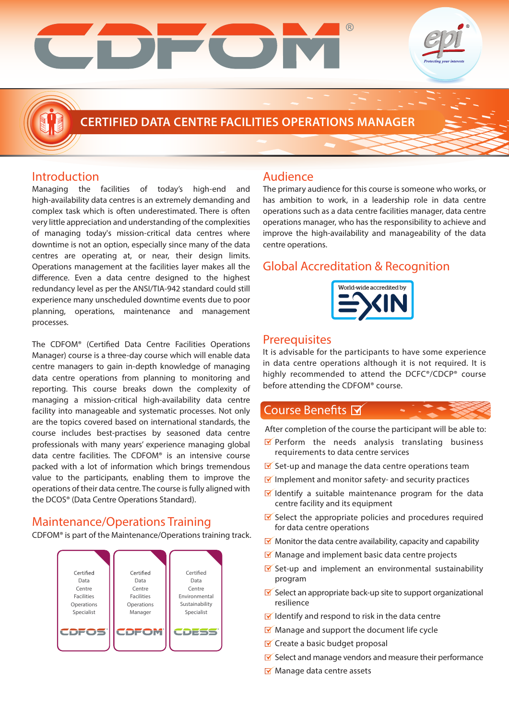

# **Introduction**

Managing the facilities of today's high-end and high-availability data centres is an extremely demanding and complex task which is often underestimated. There is often very little appreciation and understanding of the complexities of managing today's mission-critical data centres where downtime is not an option, especially since many of the data centres are operating at, or near, their design limits. Operations management at the facilities layer makes all the difference. Even a data centre designed to the highest redundancy level as per the ANSI/TIA-942 standard could still experience many unscheduled downtime events due to poor planning, operations, maintenance and management processes.

The CDFOM® (Certified Data Centre Facilities Operations Manager) course is a three-day course which will enable data centre managers to gain in-depth knowledge of managing data centre operations from planning to monitoring and reporting. This course breaks down the complexity of managing a mission-critical high-availability data centre facility into manageable and systematic processes. Not only are the topics covered based on international standards, the course includes best-practises by seasoned data centre professionals with many years' experience managing global data centre facilities. The CDFOM® is an intensive course packed with a lot of information which brings tremendous value to the participants, enabling them to improve the operations of their data centre. The course is fully aligned with the DCOS® (Data Centre Operations Standard).

# Maintenance/Operations Training

CDFOM® is part of the Maintenance/Operations training track.



# Audience

The primary audience for this course is someone who works, or has ambition to work, in a leadership role in data centre operations such as a data centre facilities manager, data centre operations manager, who has the responsibility to achieve and improve the high-availability and manageability of the data centre operations.

# Global Accreditation & Recognition



## Prerequisites

It is advisable for the participants to have some experience in data centre operations although it is not required. It is highly recommended to attend the DCFC®/CDCP® course before attending the CDFOM® course.

# Course Benefits M

After completion of the course the participant will be able to:

- $\blacksquare$  Perform the needs analysis translating business requirements to data centre services
- $\blacktriangleright$  Set-up and manage the data centre operations team
- $\blacksquare$  Implement and monitor safety- and security practices
- $\blacksquare$  Identify a suitable maintenance program for the data centre facility and its equipment
- $\triangleright$  Select the appropriate policies and procedures required for data centre operations
- $\blacksquare$  Monitor the data centre availability, capacity and capability
- $M$  Manage and implement basic data centre projects
- $\triangleright$  Set-up and implement an environmental sustainability program
- $\triangleright$  Select an appropriate back-up site to support organizational resilience
- $\blacksquare$  Identify and respond to risk in the data centre
- $M$  Manage and support the document life cycle
- $\triangleright$  Create a basic budget proposal
- $\blacktriangleright$  Select and manage vendors and measure their performance
- Manage data centre assets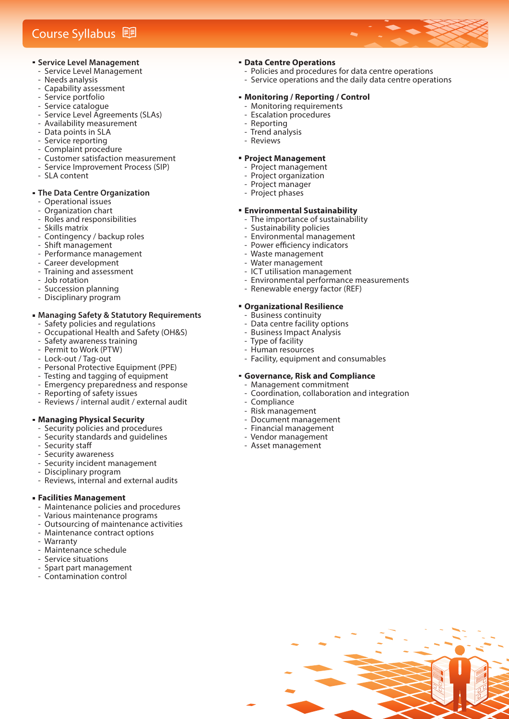# Course Syllabus **D**

- **Service Level Management** 
	- Service Level Management
	- ‐ Needs analysis
	- ‐ Capability assessment
- ‐ Service portfolio
- ‐ Service catalogue
- ‐ Service Level Agreements (SLAs)
- ‐ Availability measurement
- Data points in SLA
- ‐ Service reporting
- ‐ Complaint procedure
- ‐ Customer satisfaction measurement ‐ Service Improvement Process (SIP)
- ‐ SLA content

#### **The Data Centre Organization**

- ‐ Operational issues
- ‐ Organization chart
- ‐ Roles and responsibilities
- ‐ Skills matrix
- ‐ Contingency / backup roles
- ‐ Shift management
- ‐ Performance management
- ‐ Career development
- ‐ Training and assessment
- ‐ Job rotation
- ‐ Succession planning
- ‐ Disciplinary program

#### **Managing Safety & Statutory Requirements** Safety policies and regulations

- ‐ Occupational Health and Safety (OH&S)
- ‐ Safety awareness training
- ‐ Permit to Work (PTW)
- ‐ Lock-out / Tag-out
- ‐ Personal Protective Equipment (PPE)
- ‐ Testing and tagging of equipment
- ‐ Emergency preparedness and response
- ‐ Reporting of safety issues
- ‐ Reviews / internal audit / external audit

#### **Managing Physical Security**

- ‐ Security policies and procedures
- ‐ Security standards and guidelines
- Security staff
- Security awareness
- Security incident management
- ‐ Disciplinary program
- ‐ Reviews, internal and external audits

#### **Facilities Management**

- ‐ Maintenance policies and procedures
- ‐ Various maintenance programs
- ‐ Outsourcing of maintenance activities
- ‐ Maintenance contract options
- **Warranty**
- ‐ Maintenance schedule
- ‐ Service situations
- ‐ Spart part management
- ‐ Contamination control

### **Data Centre Operations**

- Policies and procedures for data centre operations
- ‐ Service operations and the daily data centre operations

#### **Monitoring / Reporting / Control**

- ‐ Monitoring requirements
- ‐ Escalation procedures
- ‐ Reporting
- ‐ Trend analysis
- ‐ Reviews

#### **Project Management**

- ‐ Project management
- ‐ Project organization
- ‐ Project manager
- ‐ Project phases

#### **Environmental Sustainability**

- The importance of sustainability
- ‐ Sustainability policies
- ‐ Environmental management
- Power efficiency indicators
- ‐ Waste management
- ‐ Water management
- ‐ ICT utilisation management
- ‐ Environmental performance measurements
- ‐ Renewable energy factor (REF)

#### **Organizational Resilience**

- ‐ Business continuity
- ‐ Data centre facility options
- ‐ Business Impact Analysis
- ‐ Type of facility
- ‐ Human resources
- ‐ Facility, equipment and consumables

#### **Governance, Risk and Compliance**

- ‐ Management commitment
- ‐ Coordination, collaboration and integration
- **Compliance**
- ‐ Risk management
- ‐ Document management
- ‐ Financial management
- ‐ Vendor management
- ‐ Asset management

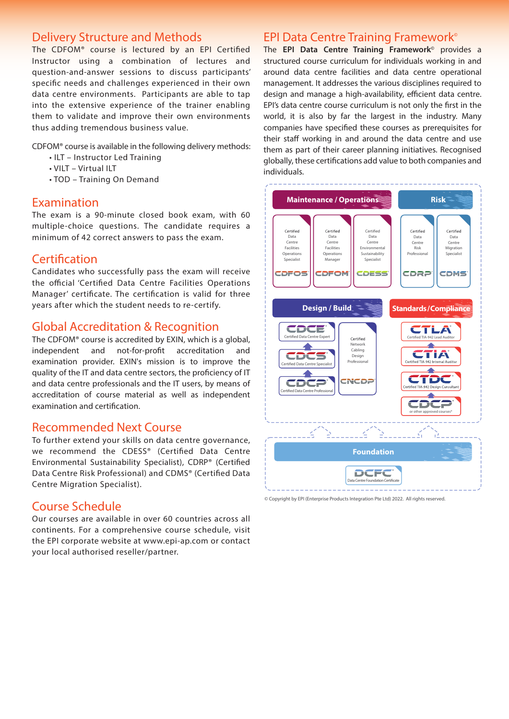# Delivery Structure and Methods

The CDFOM<sup>®</sup> course is lectured by an EPI Certified Instructor using a combination of lectures and question-and-answer sessions to discuss participants' specific needs and challenges experienced in their own data centre environments. Participants are able to tap into the extensive experience of the trainer enabling them to validate and improve their own environments thus adding tremendous business value.

CDFOM® course is available in the following delivery methods:

- ILT Instructor Led Training
- VILT Virtual ILT
- TOD Training On Demand

## Examination

The exam is a 90-minute closed book exam, with 60 multiple-choice questions. The candidate requires a minimum of 42 correct answers to pass the exam.

# Certification

Candidates who successfully pass the exam will receive the official 'Certified Data Centre Facilities Operations Manager' certificate. The certification is valid for three years after which the student needs to re-certify.

# Global Accreditation & Recognition

The CDFOM® course is accredited by EXIN, which is a global, independent and not-for-profit accreditation and examination provider. EXIN's mission is to improve the quality of the IT and data centre sectors, the proficiency of IT and data centre professionals and the IT users, by means of accreditation of course material as well as independent examination and certification.

# Recommended Next Course

To further extend your skills on data centre governance, we recommend the CDESS® (Certified Data Centre Environmental Sustainability Specialist), CDRP® (Certified Data Centre Risk Professional) and CDMS® (Certified Data Centre Migration Specialist).

# Course Schedule

Our courses are available in over 60 countries across all continents. For a comprehensive course schedule, visit the EPI corporate website at www.epi-ap.com or contact your local authorised reseller/partner.

# EPI Data Centre Training Framework**©**

The **EPI Data Centre Training Framework©** provides a structured course curriculum for individuals working in and around data centre facilities and data centre operational management. It addresses the various disciplines required to design and manage a high-availability, efficient data centre. EPI's data centre course curriculum is not only the first in the world, it is also by far the largest in the industry. Many companies have specified these courses as prerequisites for their staff working in and around the data centre and use them as part of their career planning initiatives. Recognised globally, these certifications add value to both companies and individuals.



<sup>©</sup> Copyright by EPI (Enterprise Products Integration Pte Ltd) 2022. All rights reserved.